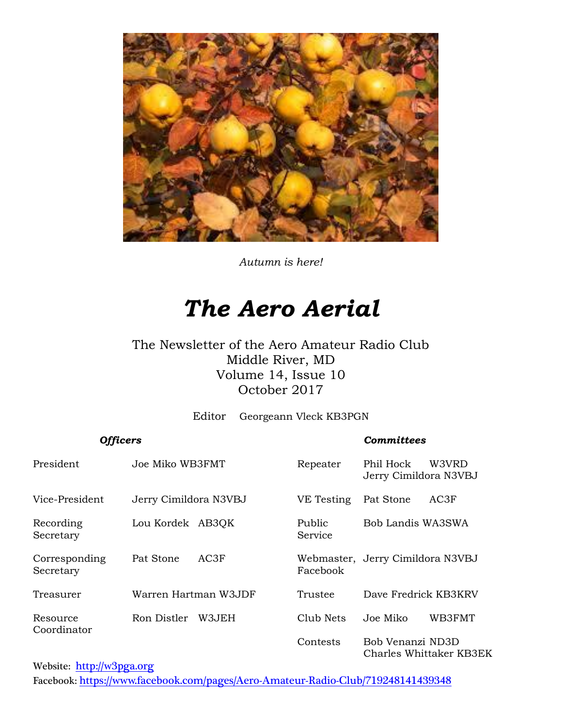

*Autumn is here!*

# *The Aero Aerial*

#### The Newsletter of the Aero Amateur Radio Club Middle River, MD Volume 14, Issue 10 October 2017

Editor Georgeann Vleck KB3PGN

| <b>Officers</b>            |                       |       |                   | <b>Committees</b>                  |                         |
|----------------------------|-----------------------|-------|-------------------|------------------------------------|-------------------------|
| President                  | Joe Miko WB3FMT       |       | Repeater          | Phil Hock<br>Jerry Cimildora N3VBJ | W3VRD                   |
| Vice-President             | Jerry Cimildora N3VBJ |       | VE Testing        | Pat Stone                          | AC3F                    |
| Recording<br>Secretary     | Lou Kordek AB3QK      |       | Public<br>Service | Bob Landis WA3SWA                  |                         |
| Corresponding<br>Secretary | Pat Stone             | AC3F  | Facebook          | Webmaster, Jerry Cimildora N3VBJ   |                         |
| Treasurer                  | Warren Hartman W3JDF  |       | Trustee           | Dave Fredrick KB3KRV               |                         |
| Resource<br>Coordinator    | Ron Distler           | W3JEH | Club Nets         | Joe Miko                           | WB3FMT                  |
|                            |                       |       | Contests          | Bob Venanzi ND3D                   | Charles Whittaker KB3EK |

Website: [http://w](http://home.comcast.net/~frank-stone/Aero%20ARC/aero.htm)3pga.org Facebook: <https://www.facebook.com/pages/Aero-Amateur-Radio-Club/719248141439348>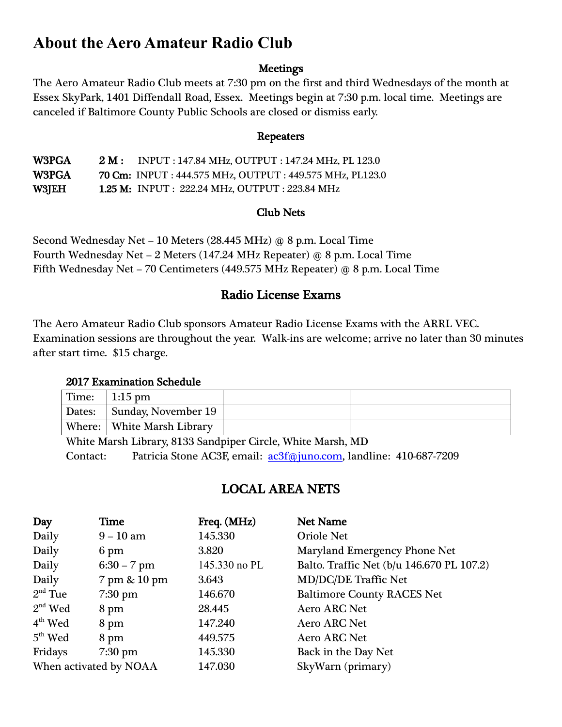### **About the Aero Amateur Radio Club**

#### **Meetings**

The Aero Amateur Radio Club meets at 7:30 pm on the first and third Wednesdays of the month at Essex SkyPark, 1401 Diffendall Road, Essex. Meetings begin at 7:30 p.m. local time. Meetings are canceled if Baltimore County Public Schools are closed or dismiss early.

#### Repeaters

W3PGA 2 M: INPUT : 147.84 MHz, OUTPUT : 147.24 MHz, PL 123.0 W3PGA 70 Cm: INPUT : 444.575 MHz, OUTPUT : 449.575 MHz, PL123.0 W3JEH 1.25 M: INPUT : 222.24 MHz, OUTPUT : 223.84 MHz

#### Club Nets

Second Wednesday Net – 10 Meters (28.445 MHz) @ 8 p.m. Local Time Fourth Wednesday Net – 2 Meters (147.24 MHz Repeater) @ 8 p.m. Local Time Fifth Wednesday Net – 70 Centimeters (449.575 MHz Repeater) @ 8 p.m. Local Time

#### Radio License Exams

The Aero Amateur Radio Club sponsors Amateur Radio License Exams with the ARRL VEC. Examination sessions are throughout the year. Walk-ins are welcome; arrive no later than 30 minutes after start time. \$15 charge.

#### 2017 Examination Schedule

| Time: | 1:15 pm                      |  |
|-------|------------------------------|--|
|       | Dates: Sunday, November 19   |  |
|       | Where:   White Marsh Library |  |

White Marsh Library, 8133 Sandpiper Circle, White Marsh, MD Contact: Patricia Stone AC3F, email: [ac3f@juno.com,](mailto:ac3f@juno.com) landline: 410-687-7209

#### LOCAL AREA NETS

| Day                    | <b>Time</b>       | Freq. (MHz)   | <b>Net Name</b>                           |
|------------------------|-------------------|---------------|-------------------------------------------|
| Daily                  | $9 - 10$ am       | 145.330       | <b>Oriole Net</b>                         |
| Daily                  | 6 pm              | 3.820         | Maryland Emergency Phone Net              |
| Daily                  | $6:30 - 7$ pm     | 145.330 no PL | Balto. Traffic Net (b/u 146.670 PL 107.2) |
| Daily                  | 7 pm & 10 pm      | 3.643         | <b>MD/DC/DE Traffic Net</b>               |
| $2nd$ Tue              | $7:30$ pm         | 146.670       | <b>Baltimore County RACES Net</b>         |
| $2nd$ Wed              | 8 pm              | 28.445        | <b>Aero ARC Net</b>                       |
| $4th$ Wed              | 8 pm              | 147.240       | <b>Aero ARC Net</b>                       |
| $5th$ Wed              | 8 pm              | 449.575       | <b>Aero ARC Net</b>                       |
| Fridays                | $7:30 \text{ pm}$ | 145.330       | Back in the Day Net                       |
| When activated by NOAA |                   | 147.030       | SkyWarn (primary)                         |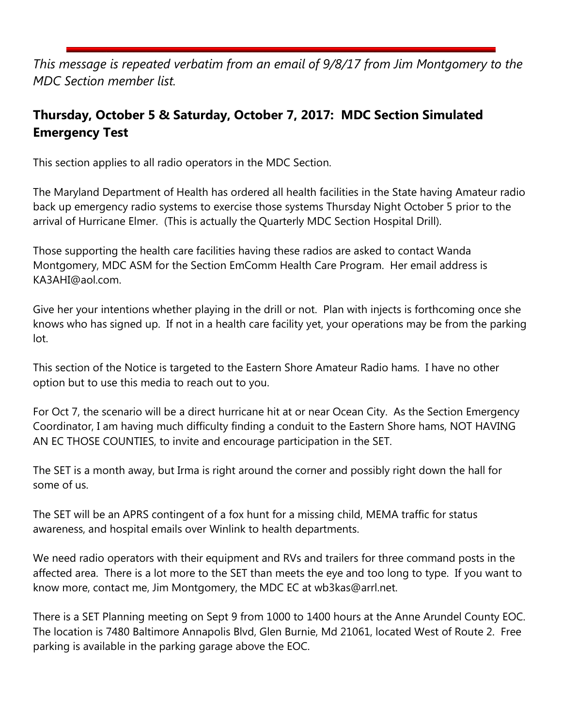*This message is repeated verbatim from an email of 9/8/17 from Jim Montgomery to the MDC Section member list.*

#### **Thursday, October 5 & Saturday, October 7, 2017: MDC Section Simulated Emergency Test**

This section applies to all radio operators in the MDC Section.

The Maryland Department of Health has ordered all health facilities in the State having Amateur radio back up emergency radio systems to exercise those systems Thursday Night October 5 prior to the arrival of Hurricane Elmer. (This is actually the Quarterly MDC Section Hospital Drill).

Those supporting the health care facilities having these radios are asked to contact Wanda Montgomery, MDC ASM for the Section EmComm Health Care Program. Her email address is KA3AHI@aol.com.

Give her your intentions whether playing in the drill or not. Plan with injects is forthcoming once she knows who has signed up. If not in a health care facility yet, your operations may be from the parking lot.

This section of the Notice is targeted to the Eastern Shore Amateur Radio hams. I have no other option but to use this media to reach out to you.

For Oct 7, the scenario will be a direct hurricane hit at or near Ocean City. As the Section Emergency Coordinator, I am having much difficulty finding a conduit to the Eastern Shore hams, NOT HAVING AN EC THOSE COUNTIES, to invite and encourage participation in the SET.

The SET is a month away, but Irma is right around the corner and possibly right down the hall for some of us.

The SET will be an APRS contingent of a fox hunt for a missing child, MEMA traffic for status awareness, and hospital emails over Winlink to health departments.

We need radio operators with their equipment and RVs and trailers for three command posts in the affected area. There is a lot more to the SET than meets the eye and too long to type. If you want to know more, contact me, Jim Montgomery, the MDC EC at wb3kas@arrl.net.

There is a SET Planning meeting on Sept 9 from 1000 to 1400 hours at the Anne Arundel County EOC. The location is 7480 Baltimore Annapolis Blvd, Glen Burnie, Md 21061, located West of Route 2. Free parking is available in the parking garage above the EOC.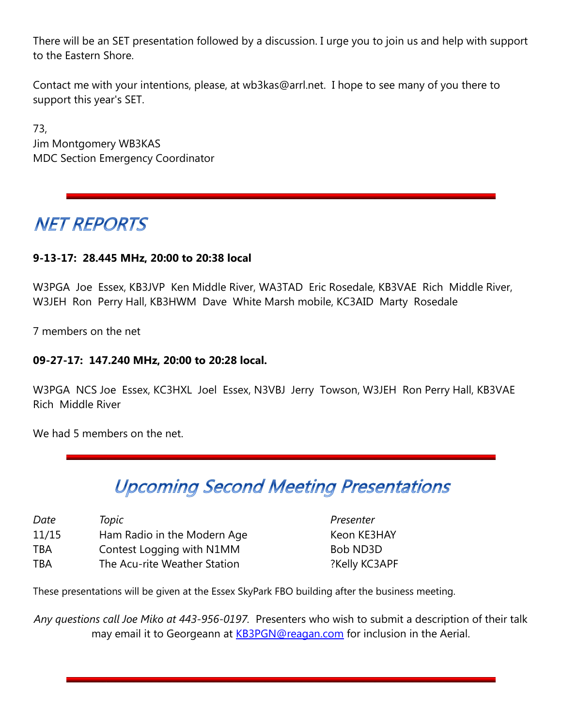There will be an SET presentation followed by a discussion. I urge you to join us and help with support to the Eastern Shore.

Contact me with your intentions, please, at wb3kas@arrl.net. I hope to see many of you there to support this year's SET.

73, Jim Montgomery WB3KAS MDC Section Emergency Coordinator

## **NET REPORTS**

#### **9-13-17: 28.445 MHz, 20:00 to 20:38 local**

W3PGA Joe Essex, KB3JVP Ken Middle River, WA3TAD Eric Rosedale, KB3VAE Rich Middle River, W3JEH Ron Perry Hall, KB3HWM Dave White Marsh mobile, KC3AID Marty Rosedale

7 members on the net

#### **09-27-17: 147.240 MHz, 20:00 to 20:28 local.**

W3PGA NCS Joe Essex, KC3HXL Joel Essex, N3VBJ Jerry Towson, W3JEH Ron Perry Hall, KB3VAE Rich Middle River

We had 5 members on the net.

# **Upcoming Second Meeting Presentations**

| Date       | Topic                        |
|------------|------------------------------|
| 11/15      | Ham Radio in the Modern Age  |
| <b>TBA</b> | Contest Logging with N1MM    |
| <b>TBA</b> | The Acu-rite Weather Station |

*Presenter* Keon KE3HAY Bob ND3D ?Kelly KC3APF

These presentations will be given at the Essex SkyPark FBO building after the business meeting.

*Any questions call Joe Miko at 443-956-0197.* Presenters who wish to submit a description of their talk may email it to Georgeann at [KB3PGN@reagan.com](mailto:KB3PGN@reagan.com) for inclusion in the Aerial.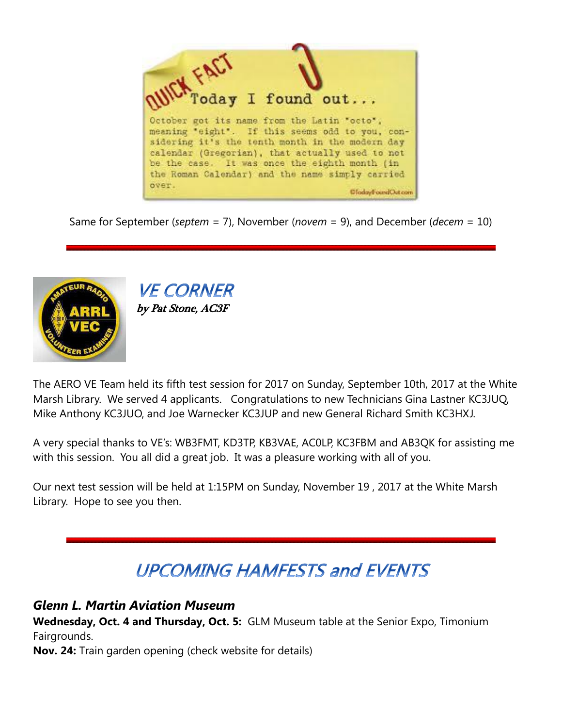

Same for September (*septem* = 7), November (*novem* = 9), and December (*decem* = 10)



**VE CORNER** by Pat Stone, AC3F

The AERO VE Team held its fifth test session for 2017 on Sunday, September 10th, 2017 at the White Marsh Library. We served 4 applicants. Congratulations to new Technicians Gina Lastner KC3JUQ, Mike Anthony KC3JUO, and Joe Warnecker KC3JUP and new General Richard Smith KC3HXJ.

A very special thanks to VE's: WB3FMT, KD3TP, KB3VAE, AC0LP, KC3FBM and AB3QK for assisting me with this session. You all did a great job. It was a pleasure working with all of you.

Our next test session will be held at 1:15PM on Sunday, November 19 , 2017 at the White Marsh Library. Hope to see you then.

# **UPCOMING HAMFESTS and EVENTS**

#### *Glenn L. Martin Aviation Museum*

**Wednesday, Oct. 4 and Thursday, Oct. 5:** GLM Museum table at the Senior Expo, Timonium Fairgrounds.

**Nov. 24:** Train garden opening (check website for details)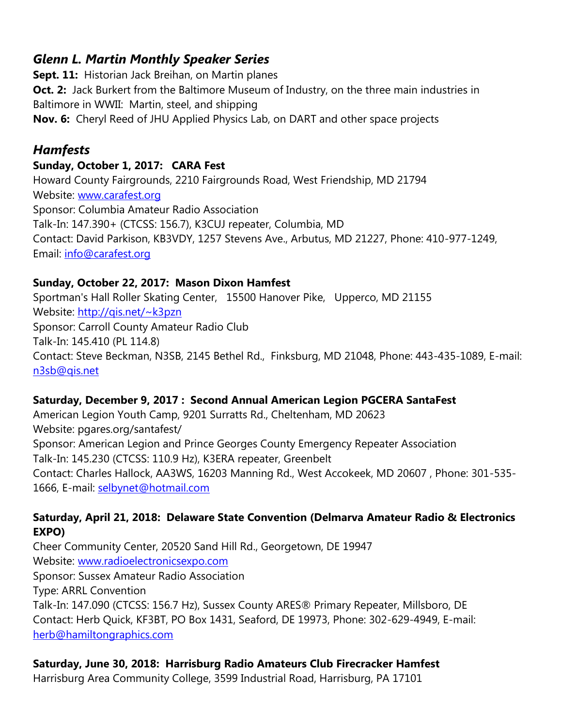#### *Glenn L. Martin Monthly Speaker Series*

**Sept. 11:** Historian Jack Breihan, on Martin planes **Oct. 2:** Jack Burkert from the Baltimore Museum of Industry, on the three main industries in Baltimore in WWII: Martin, steel, and shipping **Nov. 6:** Cheryl Reed of JHU Applied Physics Lab, on DART and other space projects

#### *Hamfests*

#### **Sunday, October 1, 2017: CARA Fest**

Howard County Fairgrounds, 2210 Fairgrounds Road, West Friendship, MD 21794 Website: [www.carafest.org](http://www.carafest.org/) Sponsor: Columbia Amateur Radio Association Talk-In: 147.390+ (CTCSS: 156.7), K3CUJ repeater, Columbia, MD Contact: David Parkison, KB3VDY, 1257 Stevens Ave., Arbutus, MD 21227, Phone: 410-977-1249, Email: [info@carafest.org](mailto:info@carafest.org)

#### **Sunday, October 22, 2017: Mason Dixon Hamfest**

Sportman's Hall Roller Skating Center, 15500 Hanover Pike, Upperco, MD 21155 Website: http://gis.net/~k3pzn Sponsor: Carroll County Amateur Radio Club Talk-In: 145.410 (PL 114.8) Contact: Steve Beckman, N3SB, 2145 Bethel Rd., Finksburg, MD 21048, Phone: 443-435-1089, E-mail: [n3sb@qis.net](mailto:n3sb@qis.net)

#### **Saturday, December 9, 2017 : Second Annual American Legion PGCERA SantaFest**

American Legion Youth Camp, 9201 Surratts Rd., Cheltenham, MD 20623 Website: pgares.org/santafest/ Sponsor: American Legion and Prince Georges County Emergency Repeater Association Talk-In: 145.230 (CTCSS: 110.9 Hz), K3ERA repeater, Greenbelt Contact: Charles Hallock, AA3WS, 16203 Manning Rd., West Accokeek, MD 20607 , Phone: 301-535- 1666, E-mail: [selbynet@hotmail.com](mailto:selbynet@hotmail.com)

#### **Saturday, April 21, 2018: Delaware State Convention (Delmarva Amateur Radio & Electronics EXPO)**

Cheer Community Center, 20520 Sand Hill Rd., Georgetown, DE 19947 Website: [www.radioelectronicsexpo.com](http://www.radioelectronicsexpo.com/) Sponsor: Sussex Amateur Radio Association Type: ARRL Convention Talk-In: 147.090 (CTCSS: 156.7 Hz), Sussex County ARES® Primary Repeater, Millsboro, DE Contact: Herb Quick, KF3BT, PO Box 1431, Seaford, DE 19973, Phone: 302-629-4949, E-mail: [herb@hamiltongraphics.com](mailto:herb@hamiltongraphics.com)

#### **Saturday, June 30, 2018: Harrisburg Radio Amateurs Club Firecracker Hamfest**

Harrisburg Area Community College, 3599 Industrial Road, Harrisburg, PA 17101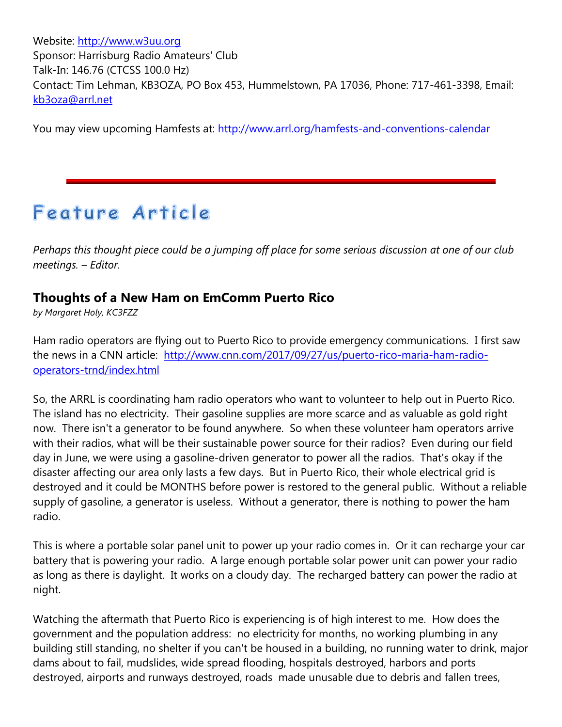Website: [http://www.w3uu.org](http://www.w3uu.org/) Sponsor: Harrisburg Radio Amateurs' Club Talk-In: 146.76 (CTCSS 100.0 Hz) Contact: Tim Lehman, KB3OZA, PO Box 453, Hummelstown, PA 17036, Phone: 717-461-3398, Email: [kb3oza@arrl.net](mailto:kb3oza@arrl.net)

You may view upcoming Hamfests at:<http://www.arrl.org/hamfests-and-conventions-calendar>

# Feature Article

*Perhaps this thought piece could be a jumping off place for some serious discussion at one of our club meetings. – Editor.*

#### **Thoughts of a New Ham on EmComm Puerto Rico**

*by Margaret Holy, KC3FZZ*

Ham radio operators are flying out to Puerto Rico to provide emergency communications. I first saw the news in a CNN article: [http://www.cnn.com/2017/09/27/us/puerto-rico-maria-ham-radio](http://www.cnn.com/2017/09/27/us/puerto-rico-maria-ham-radio-operators-trnd/index.html)[operators-trnd/index.html](http://www.cnn.com/2017/09/27/us/puerto-rico-maria-ham-radio-operators-trnd/index.html)

So, the ARRL is coordinating ham radio operators who want to volunteer to help out in Puerto Rico. The island has no electricity. Their gasoline supplies are more scarce and as valuable as gold right now. There isn't a generator to be found anywhere. So when these volunteer ham operators arrive with their radios, what will be their sustainable power source for their radios? Even during our field day in June, we were using a gasoline-driven generator to power all the radios. That's okay if the disaster affecting our area only lasts a few days. But in Puerto Rico, their whole electrical grid is destroyed and it could be MONTHS before power is restored to the general public. Without a reliable supply of gasoline, a generator is useless. Without a generator, there is nothing to power the ham radio.

This is where a portable solar panel unit to power up your radio comes in. Or it can recharge your car battery that is powering your radio. A large enough portable solar power unit can power your radio as long as there is daylight. It works on a cloudy day. The recharged battery can power the radio at night.

Watching the aftermath that Puerto Rico is experiencing is of high interest to me. How does the government and the population address: no electricity for months, no working plumbing in any building still standing, no shelter if you can't be housed in a building, no running water to drink, major dams about to fail, mudslides, wide spread flooding, hospitals destroyed, harbors and ports destroyed, airports and runways destroyed, roads made unusable due to debris and fallen trees,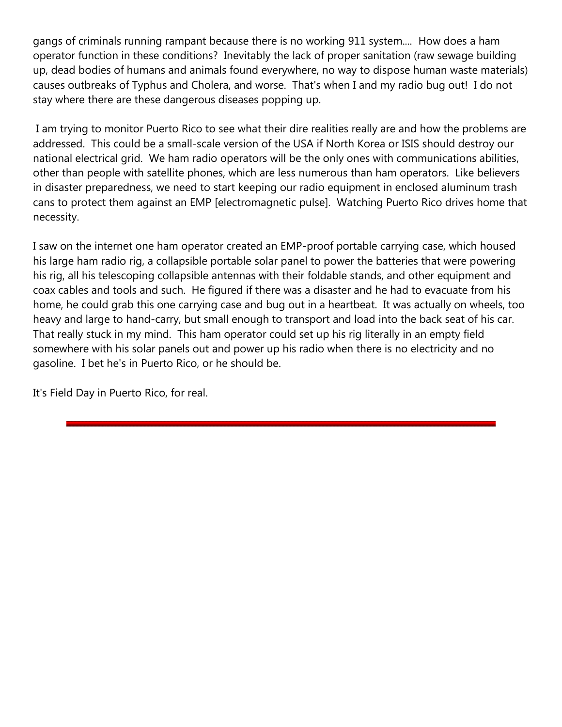gangs of criminals running rampant because there is no working 911 system.... How does a ham operator function in these conditions? Inevitably the lack of proper sanitation (raw sewage building up, dead bodies of humans and animals found everywhere, no way to dispose human waste materials) causes outbreaks of Typhus and Cholera, and worse. That's when I and my radio bug out! I do not stay where there are these dangerous diseases popping up.

I am trying to monitor Puerto Rico to see what their dire realities really are and how the problems are addressed. This could be a small-scale version of the USA if North Korea or ISIS should destroy our national electrical grid. We ham radio operators will be the only ones with communications abilities, other than people with satellite phones, which are less numerous than ham operators. Like believers in disaster preparedness, we need to start keeping our radio equipment in enclosed aluminum trash cans to protect them against an EMP [electromagnetic pulse]. Watching Puerto Rico drives home that necessity.

I saw on the internet one ham operator created an EMP-proof portable carrying case, which housed his large ham radio rig, a collapsible portable solar panel to power the batteries that were powering his rig, all his telescoping collapsible antennas with their foldable stands, and other equipment and coax cables and tools and such. He figured if there was a disaster and he had to evacuate from his home, he could grab this one carrying case and bug out in a heartbeat. It was actually on wheels, too heavy and large to hand-carry, but small enough to transport and load into the back seat of his car. That really stuck in my mind. This ham operator could set up his rig literally in an empty field somewhere with his solar panels out and power up his radio when there is no electricity and no gasoline. I bet he's in Puerto Rico, or he should be.

It's Field Day in Puerto Rico, for real.